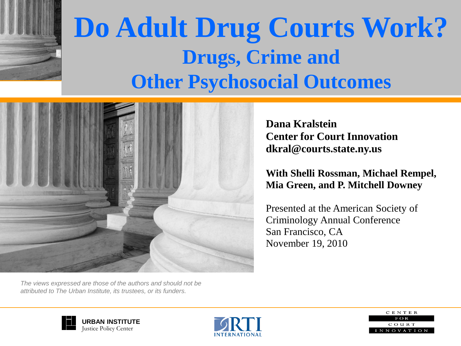

### **Do Adult Drug Courts Work? Drugs, Crime and Other Psychosocial Outcomes**



**Dana Kralstein Center for Court Innovation dkral@courts.state.ny.us**

#### **With Shelli Rossman, Michael Rempel, Mia Green, and P. Mitchell Downey**

Presented at the American Society of Criminology Annual Conference San Francisco, CA November 19, 2010

*The views expressed are those of the authors and should not be attributed to The Urban Institute, its trustees, or its funders.*





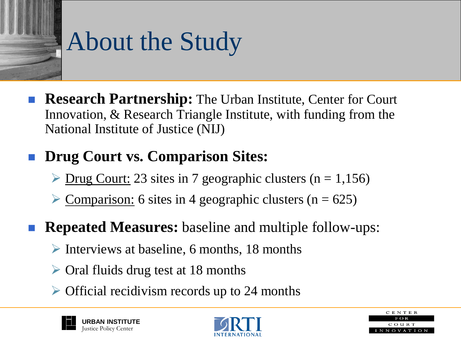# About the Study

 **Research Partnership:** The Urban Institute, Center for Court Innovation, & Research Triangle Institute, with funding from the National Institute of Justice (NIJ)

### **Drug Court vs. Comparison Sites:**

- $\triangleright$  Drug Court: 23 sites in 7 geographic clusters (n = 1,156)
- $\geq$  Comparison: 6 sites in 4 geographic clusters (n = 625)
- **Repeated Measures:** baseline and multiple follow-ups:
	- $\triangleright$  Interviews at baseline, 6 months, 18 months
	- $\triangleright$  Oral fluids drug test at 18 months
	- $\triangleright$  Official recidivism records up to 24 months





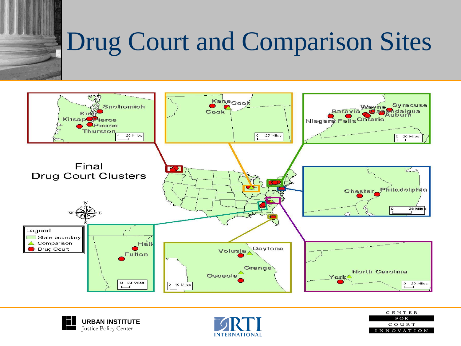# Drug Court and Comparison Sites







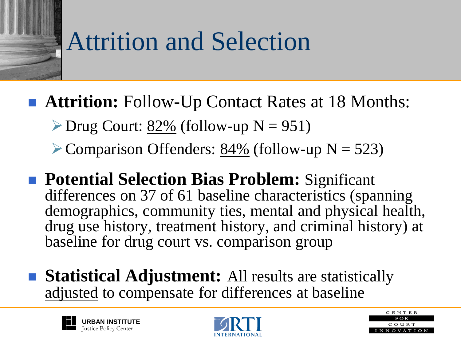### Attrition and Selection

- **Attrition:** Follow-Up Contact Rates at 18 Months:
	- $\triangleright$  Drug Court: <u>82%</u> (follow-up N = 951)
	- Comparison Offenders:  $84\%$  (follow-up N = 523)
- **Potential Selection Bias Problem:** Significant differences on 37 of 61 baseline characteristics (spanning demographics, community ties, mental and physical health, drug use history, treatment history, and criminal history) at baseline for drug court vs. comparison group
- **Statistical Adjustment:** All results are statistically adjusted to compensate for differences at baseline





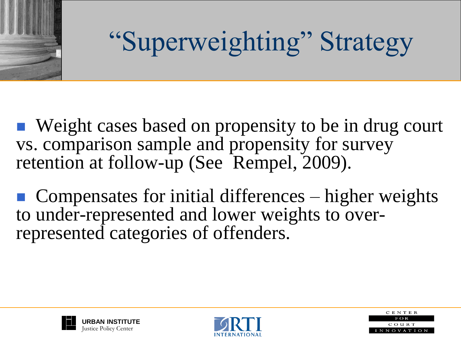

# "Superweighting" Strategy

■ Weight cases based on propensity to be in drug court vs. comparison sample and propensity for survey retention at follow-up (See Rempel, 2009).

 $\blacksquare$  Compensates for initial differences – higher weights to under-represented and lower weights to overrepresented categories of offenders.





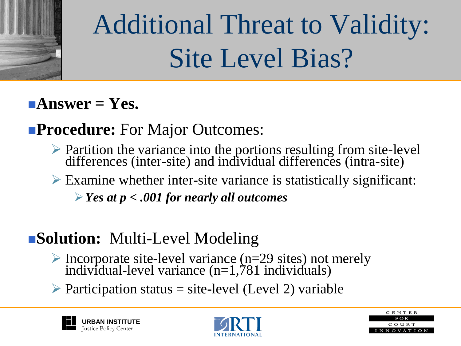

# Additional Threat to Validity: Site Level Bias?

### **Answer = Yes.**

### **Procedure:** For Major Outcomes:

- $\triangleright$  Partition the variance into the portions resulting from site-level differences (inter-site) and individual differences (intra-site)
- $\triangleright$  Examine whether inter-site variance is statistically significant:
	- *Yes at p < .001 for nearly all outcomes*

### **Solution:** Multi-Level Modeling

- Incorporate site-level variance  $(n=29 \text{ sites})$  not merely individual-level variance (n=1,781 individuals)
- $\triangleright$  Participation status = site-level (Level 2) variable





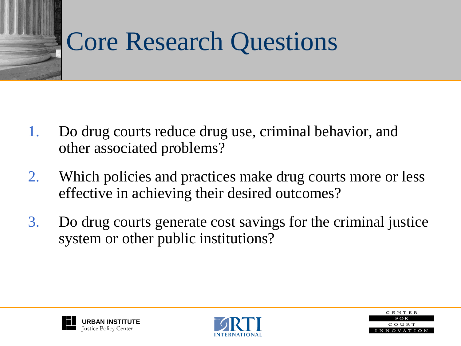### Core Research Questions

- 1. Do drug courts reduce drug use, criminal behavior, and other associated problems?
- 2. Which policies and practices make drug courts more or less effective in achieving their desired outcomes?
- 3. Do drug courts generate cost savings for the criminal justice system or other public institutions?





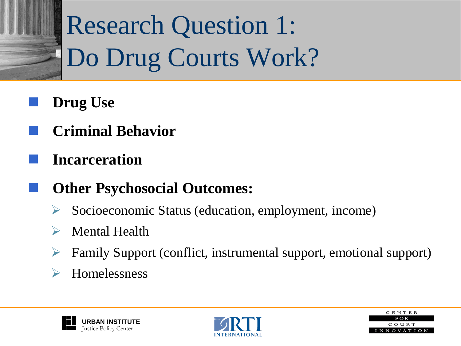# Research Question 1: Do Drug Courts Work?

- **Drug Use**
- **Criminal Behavior**
- **Incarceration**
- **Other Psychosocial Outcomes:**
	- Socioeconomic Status (education, employment, income)
	- Mental Health
	- Family Support (conflict, instrumental support, emotional support)
	- Homelessness





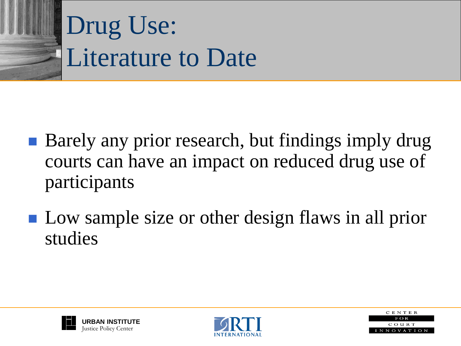

### Drug Use: Literature to Date

- Barely any prior research, but findings imply drug courts can have an impact on reduced drug use of participants
- **Low sample size or other design flaws in all prior** studies





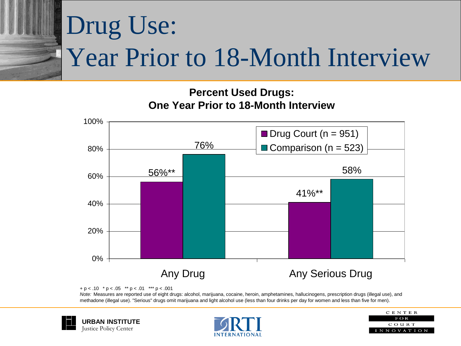# Drug Use: Year Prior to 18-Month Interview

#### **Percent Used Drugs: One Year Prior to 18-Month Interview**



 $+p < .10$  \*  $p < .05$  \*\*  $p < .01$  \*\*\*  $p < .001$ 

*Note:* Measures are reported use of eight drugs: alcohol, marijuana, cocaine, heroin, amphetamines, hallucinogens, prescription drugs (illegal use), and methadone (illegal use). "Serious" drugs omit marijuana and light alcohol use (less than four drinks per day for women and less than five for men).





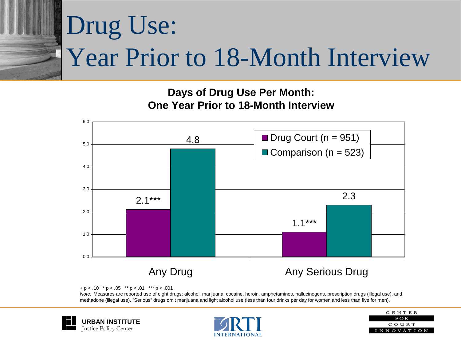# Drug Use: Year Prior to 18-Month Interview

#### **Days of Drug Use Per Month: One Year Prior to 18-Month Interview**



 $+p < .10$  \*  $p < .05$  \*\*  $p < .01$  \*\*\*  $p < .001$ 

*Note:* Measures are reported use of eight drugs: alcohol, marijuana, cocaine, heroin, amphetamines, hallucinogens, prescription drugs (illegal use), and methadone (illegal use). "Serious" drugs omit marijuana and light alcohol use (less than four drinks per day for women and less than five for men).





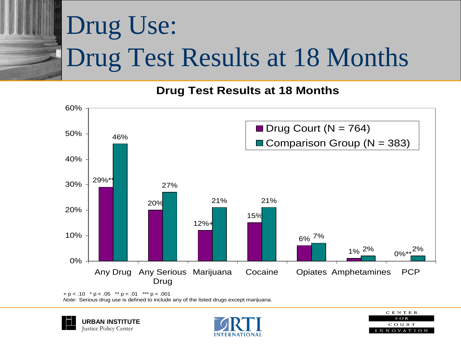# Drug Use: Drug Test Results at 18 Months

#### **Drug Test Results at 18 Months**



 $+ p < .10$  \*  $p < .05$  \*\*  $p < .01$  \*\*\*  $p < .001$ *Note:* Serious drug use is defined to include any of the listed drugs except marijuana.





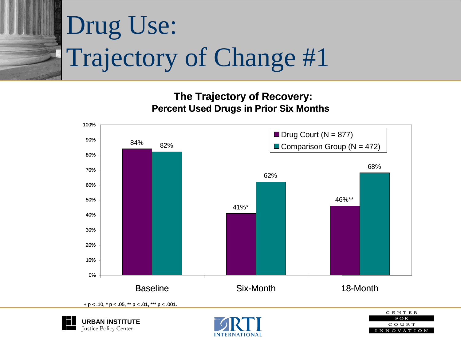

**The Trajectory of Recovery: Percent Used Drugs in Prior Six Months**







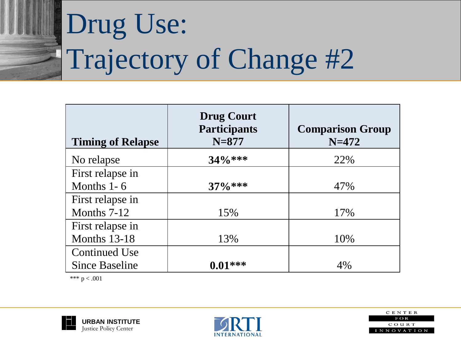# Drug Use: Trajectory of Change #2

| <b>Timing of Relapse</b> | <b>Drug Court</b><br><b>Participants</b><br>$N = 877$ | <b>Comparison Group</b><br>$N = 472$ |
|--------------------------|-------------------------------------------------------|--------------------------------------|
| No relapse               | $34\%***$                                             | 22%                                  |
| First relapse in         |                                                       |                                      |
| Months $1-6$             | $37\%***$                                             | 47%                                  |
| First relapse in         |                                                       |                                      |
| Months $7-12$            | 15%                                                   | 17%                                  |
| First relapse in         |                                                       |                                      |
| Months 13-18             | 13%                                                   | 10%                                  |
| Continued Use            |                                                       |                                      |
| <b>Since Baseline</b>    | $0.01***$                                             | 4%                                   |

\*\*\*  $p < .001$ 





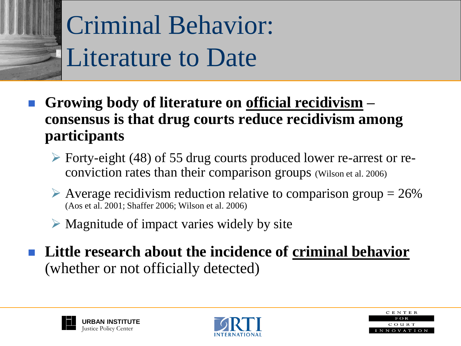

- **Growing body of literature on official recidivism – consensus is that drug courts reduce recidivism among participants**
	- Forty-eight (48) of 55 drug courts produced lower re-arrest or reconviction rates than their comparison groups (Wilson et al. 2006)
	- $\triangleright$  Average recidivism reduction relative to comparison group = 26% (Aos et al. 2001; Shaffer 2006; Wilson et al. 2006)
	- $\triangleright$  Magnitude of impact varies widely by site
- **Little research about the incidence of criminal behavior** (whether or not officially detected)





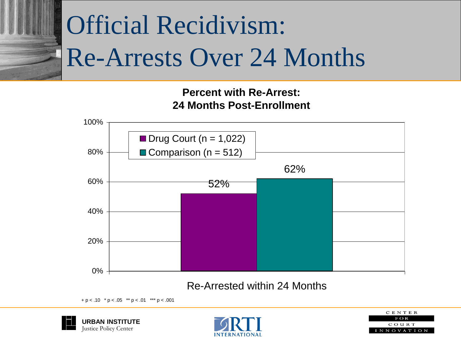## Official Recidivism: Re-Arrests Over 24 Months

#### **Percent with Re-Arrest: 24 Months Post-Enrollment**



#### Re-Arrested within 24 Months

 $+p < .10$  \*  $p < .05$  \*\*  $p < .01$  \*\*\*  $p < .001$ 





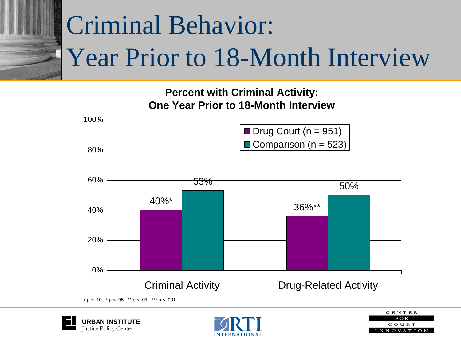# Criminal Behavior: Year Prior to 18-Month Interview

**Percent with Criminal Activity: One Year Prior to 18-Month Interview**



<sup>+</sup> p < .10 \* p < .05 \*\* p < .01 \*\*\* p < .001





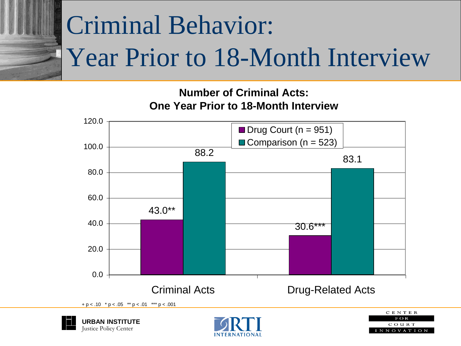# Criminal Behavior: Year Prior to 18-Month Interview

#### **Number of Criminal Acts: One Year Prior to 18-Month Interview**







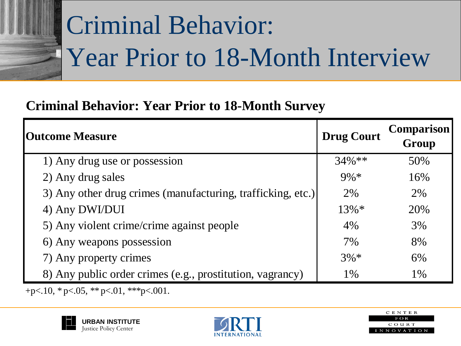

## Criminal Behavior: Year Prior to 18-Month Interview

### **Criminal Behavior: Year Prior to 18-Month Survey**

| <b>Outcome Measure</b>                                      | <b>Drug Court</b> | <b>Comparison</b><br>Group |
|-------------------------------------------------------------|-------------------|----------------------------|
| 1) Any drug use or possession                               | $34\%$ **         | 50%                        |
| 2) Any drug sales                                           | $9\% *$           | 16%                        |
| 3) Any other drug crimes (manufacturing, trafficking, etc.) | 2%                | 2%                         |
| 4) Any DWI/DUI                                              | $13\% *$          | 20%                        |
| 5) Any violent crime/crime against people                   | 4%                | 3%                         |
| 6) Any weapons possession                                   | 7%                | 8%                         |
| 7) Any property crimes                                      | $3\% *$           | 6%                         |
| 8) Any public order crimes (e.g., prostitution, vagrancy)   | 1%                | 1%                         |

+p $<$ .10,  $*$  p $<$ .05,  $**$  p $<$ .01,  $**$  p $<$ .001.





| CENTER              |
|---------------------|
| F O R               |
| COURT               |
| I N N O V A T I O N |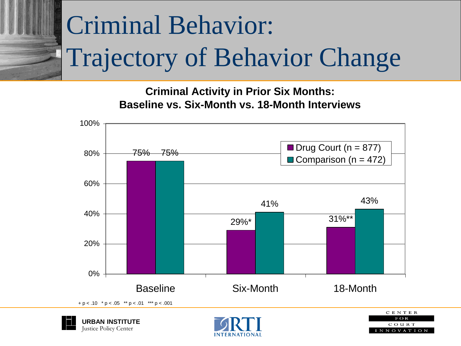# Criminal Behavior: Trajectory of Behavior Change

**Criminal Activity in Prior Six Months: Baseline vs. Six-Month vs. 18-Month Interviews**



Justice Policy Center



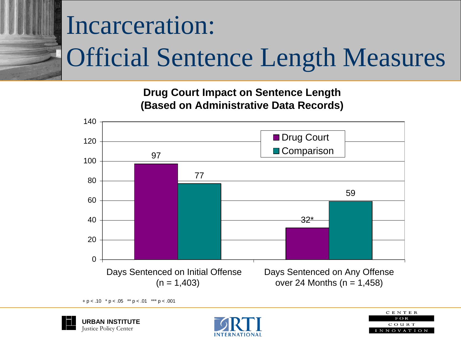# Incarceration: Official Sentence Length Measures

**Drug Court Impact on Sentence Length (Based on Administrative Data Records)**



 $+ p < .10$  \*  $p < .05$  \*\*  $p < .01$  \*\*\*  $p < .001$ 





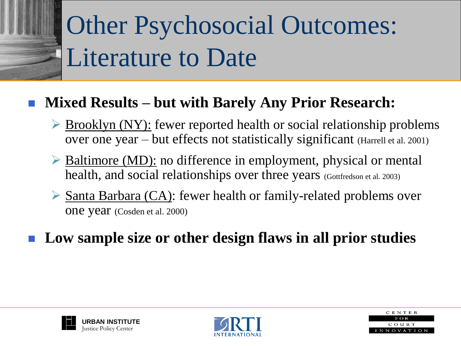## Other Psychosocial Outcomes: Literature to Date

### **Mixed Results – but with Barely Any Prior Research:**

- $\triangleright$  Brooklyn (NY): fewer reported health or social relationship problems over one year – but effects not statistically significant (Harrell et al. 2001)
- $\triangleright$  Baltimore (MD): no difference in employment, physical or mental health, and social relationships over three years (Gottfredson et al. 2003)
- $\triangleright$  Santa Barbara (CA): fewer health or family-related problems over one year (Cosden et al. 2000)
- **Low sample size or other design flaws in all prior studies**





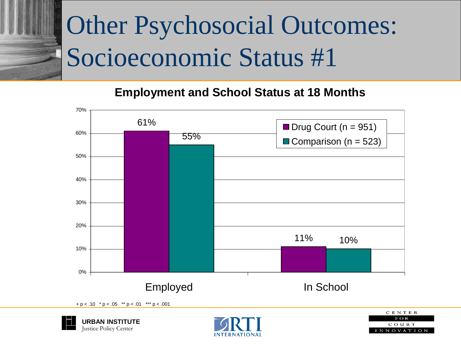## Other Psychosocial Outcomes: Socioeconomic Status #1

#### **Employment and School Status at 18 Months**



Justice Policy Center



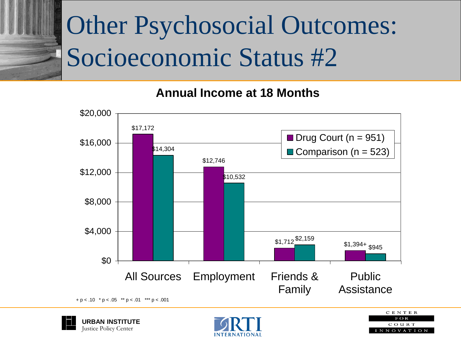## Other Psychosocial Outcomes: Socioeconomic Status #2

#### **Annual Income at 18 Months**







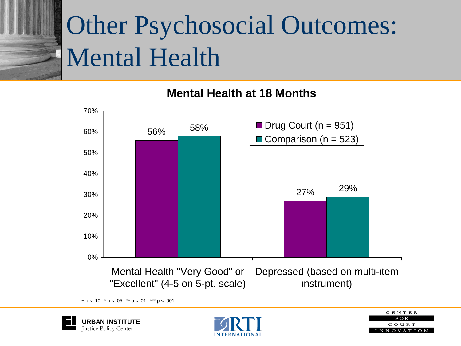## Other Psychosocial Outcomes: Mental Health

**Mental Health at 18 Months**



 $+p < .10$  \*  $p < .05$  \*\*  $p < .01$  \*\*\*  $p < .001$ 





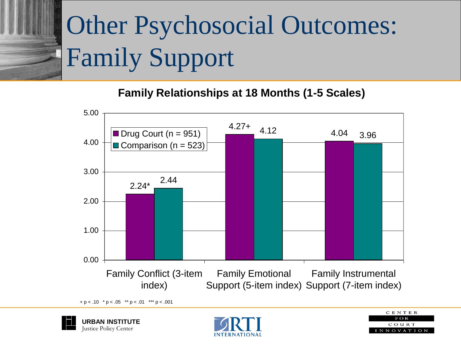# Other Psychosocial Outcomes: Family Support

**Family Relationships at 18 Months (1-5 Scales)**



 $+p < .10$  \*  $p < .05$  \*\*  $p < .01$  \*\*\*  $p < .001$ 





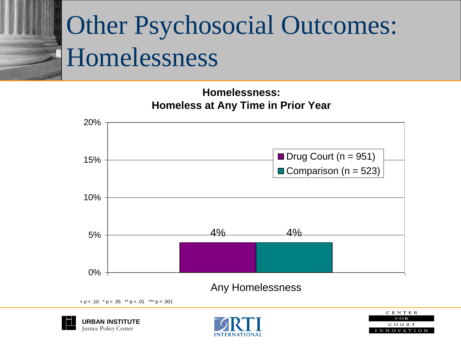### Other Psychosocial Outcomes: Homelessness

**Homelessness: Homeless at Any Time in Prior Year**



 $+ p < .10$  \*  $p < .05$  \*\*  $p < .01$  \*\*\*  $p < .001$